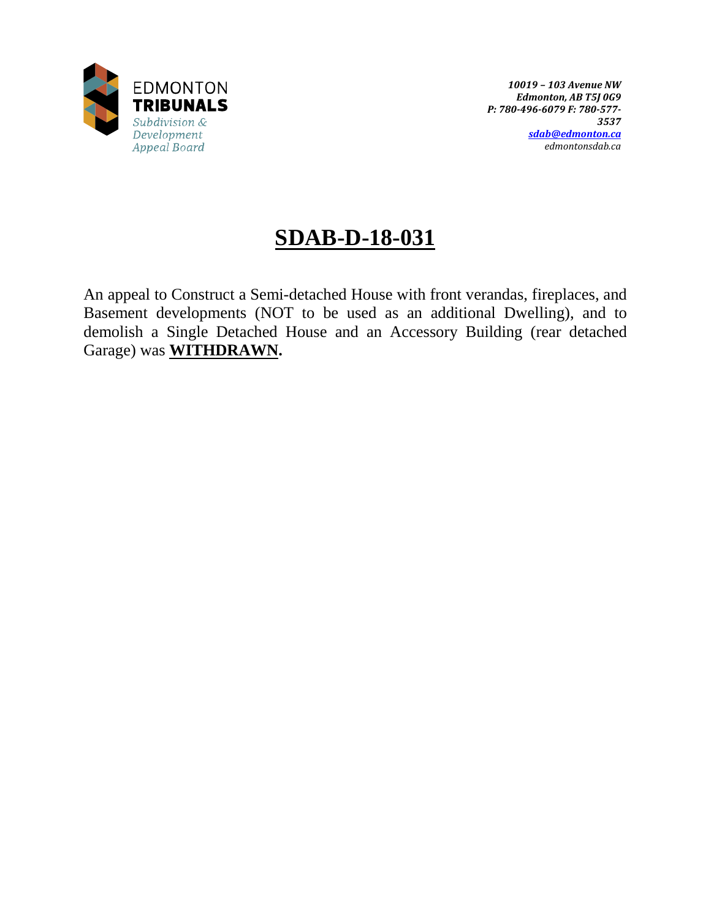

# **SDAB-D-18-031**

An appeal to Construct a Semi-detached House with front verandas, fireplaces, and Basement developments (NOT to be used as an additional Dwelling), and to demolish a Single Detached House and an Accessory Building (rear detached Garage) was **WITHDRAWN.**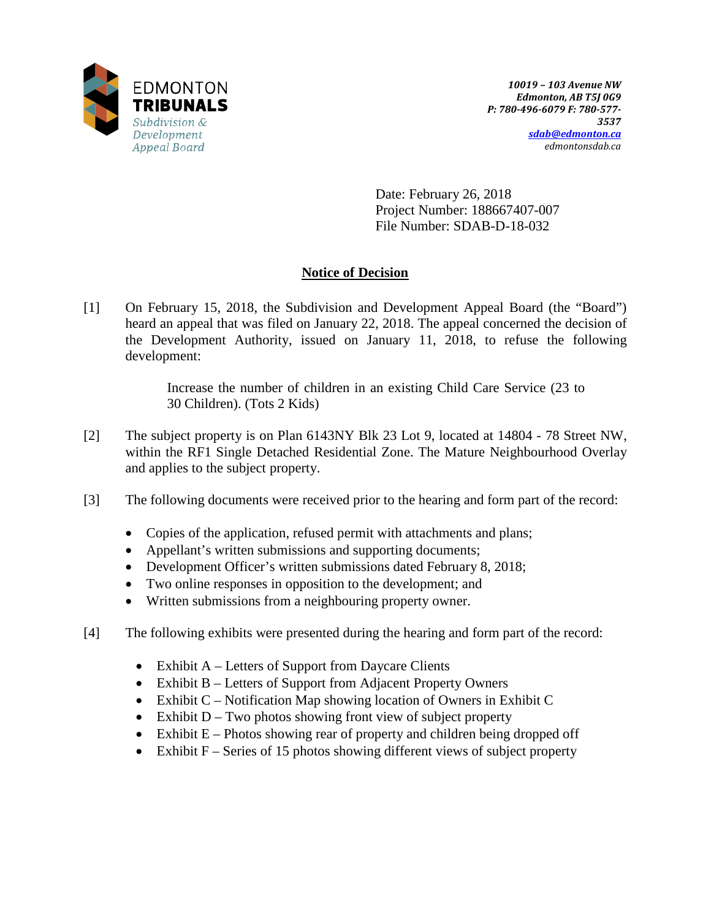

Date: February 26, 2018 Project Number: 188667407-007 File Number: SDAB-D-18-032

# **Notice of Decision**

[1] On February 15, 2018, the Subdivision and Development Appeal Board (the "Board") heard an appeal that was filed on January 22, 2018. The appeal concerned the decision of the Development Authority, issued on January 11, 2018, to refuse the following development:

> Increase the number of children in an existing Child Care Service (23 to 30 Children). (Tots 2 Kids)

- [2] The subject property is on Plan 6143NY Blk 23 Lot 9, located at 14804 78 Street NW, within the RF1 Single Detached Residential Zone. The Mature Neighbourhood Overlay and applies to the subject property.
- [3] The following documents were received prior to the hearing and form part of the record:
	- Copies of the application, refused permit with attachments and plans;
	- Appellant's written submissions and supporting documents;
	- Development Officer's written submissions dated February 8, 2018;
	- Two online responses in opposition to the development; and
	- Written submissions from a neighbouring property owner.
- [4] The following exhibits were presented during the hearing and form part of the record:
	- Exhibit  $A -$  Letters of Support from Daycare Clients
	- Exhibit B Letters of Support from Adjacent Property Owners
	- Exhibit C Notification Map showing location of Owners in Exhibit C
	- Exhibit  $D Two$  photos showing front view of subject property
	- Exhibit  $E -$  Photos showing rear of property and children being dropped off
	- Exhibit  $F -$  Series of 15 photos showing different views of subject property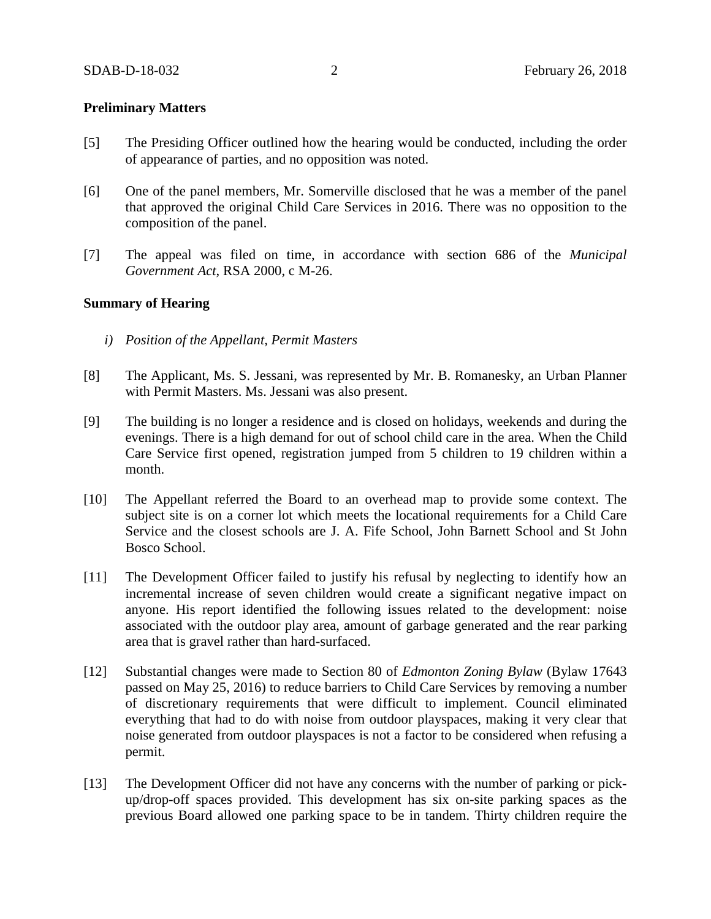## **Preliminary Matters**

- [5] The Presiding Officer outlined how the hearing would be conducted, including the order of appearance of parties, and no opposition was noted.
- [6] One of the panel members, Mr. Somerville disclosed that he was a member of the panel that approved the original Child Care Services in 2016. There was no opposition to the composition of the panel.
- [7] The appeal was filed on time, in accordance with section 686 of the *Municipal Government Act*, RSA 2000, c M-26.

### **Summary of Hearing**

- *i) Position of the Appellant, Permit Masters*
- [8] The Applicant, Ms. S. Jessani, was represented by Mr. B. Romanesky, an Urban Planner with Permit Masters. Ms. Jessani was also present.
- [9] The building is no longer a residence and is closed on holidays, weekends and during the evenings. There is a high demand for out of school child care in the area. When the Child Care Service first opened, registration jumped from 5 children to 19 children within a month.
- [10] The Appellant referred the Board to an overhead map to provide some context. The subject site is on a corner lot which meets the locational requirements for a Child Care Service and the closest schools are J. A. Fife School, John Barnett School and St John Bosco School.
- [11] The Development Officer failed to justify his refusal by neglecting to identify how an incremental increase of seven children would create a significant negative impact on anyone. His report identified the following issues related to the development: noise associated with the outdoor play area, amount of garbage generated and the rear parking area that is gravel rather than hard-surfaced.
- [12] Substantial changes were made to Section 80 of *Edmonton Zoning Bylaw* (Bylaw 17643 passed on May 25, 2016) to reduce barriers to Child Care Services by removing a number of discretionary requirements that were difficult to implement. Council eliminated everything that had to do with noise from outdoor playspaces, making it very clear that noise generated from outdoor playspaces is not a factor to be considered when refusing a permit.
- [13] The Development Officer did not have any concerns with the number of parking or pickup/drop-off spaces provided. This development has six on-site parking spaces as the previous Board allowed one parking space to be in tandem. Thirty children require the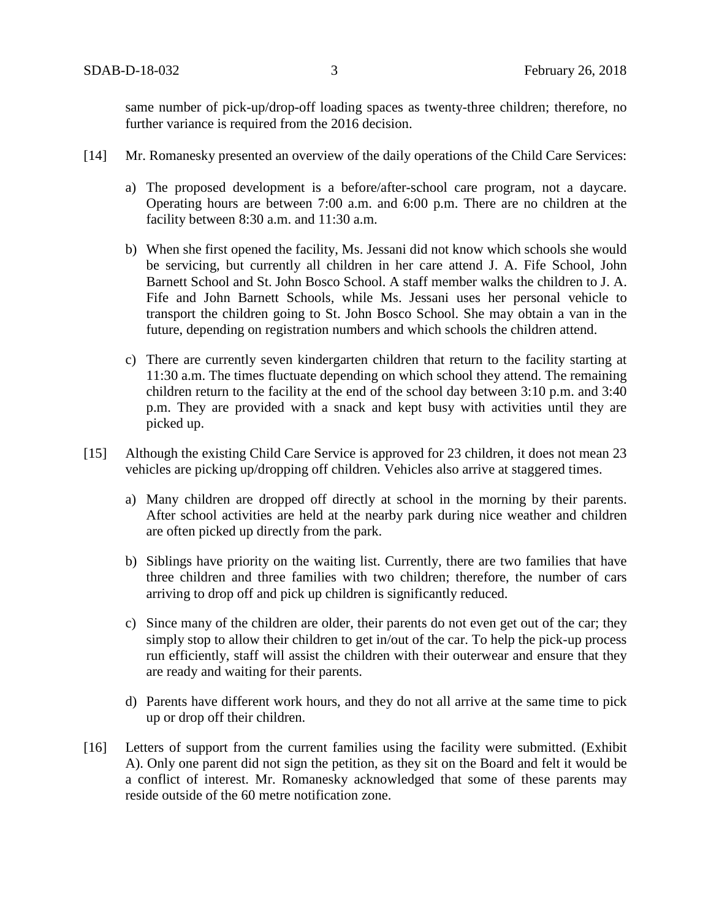same number of pick-up/drop-off loading spaces as twenty-three children; therefore, no further variance is required from the 2016 decision.

- [14] Mr. Romanesky presented an overview of the daily operations of the Child Care Services:
	- a) The proposed development is a before/after-school care program, not a daycare. Operating hours are between 7:00 a.m. and 6:00 p.m. There are no children at the facility between 8:30 a.m. and 11:30 a.m.
	- b) When she first opened the facility, Ms. Jessani did not know which schools she would be servicing, but currently all children in her care attend J. A. Fife School, John Barnett School and St. John Bosco School. A staff member walks the children to J. A. Fife and John Barnett Schools, while Ms. Jessani uses her personal vehicle to transport the children going to St. John Bosco School. She may obtain a van in the future, depending on registration numbers and which schools the children attend.
	- c) There are currently seven kindergarten children that return to the facility starting at 11:30 a.m. The times fluctuate depending on which school they attend. The remaining children return to the facility at the end of the school day between 3:10 p.m. and 3:40 p.m. They are provided with a snack and kept busy with activities until they are picked up.
- [15] Although the existing Child Care Service is approved for 23 children, it does not mean 23 vehicles are picking up/dropping off children. Vehicles also arrive at staggered times.
	- a) Many children are dropped off directly at school in the morning by their parents. After school activities are held at the nearby park during nice weather and children are often picked up directly from the park.
	- b) Siblings have priority on the waiting list. Currently, there are two families that have three children and three families with two children; therefore, the number of cars arriving to drop off and pick up children is significantly reduced.
	- c) Since many of the children are older, their parents do not even get out of the car; they simply stop to allow their children to get in/out of the car. To help the pick-up process run efficiently, staff will assist the children with their outerwear and ensure that they are ready and waiting for their parents.
	- d) Parents have different work hours, and they do not all arrive at the same time to pick up or drop off their children.
- [16] Letters of support from the current families using the facility were submitted. (Exhibit A). Only one parent did not sign the petition, as they sit on the Board and felt it would be a conflict of interest. Mr. Romanesky acknowledged that some of these parents may reside outside of the 60 metre notification zone.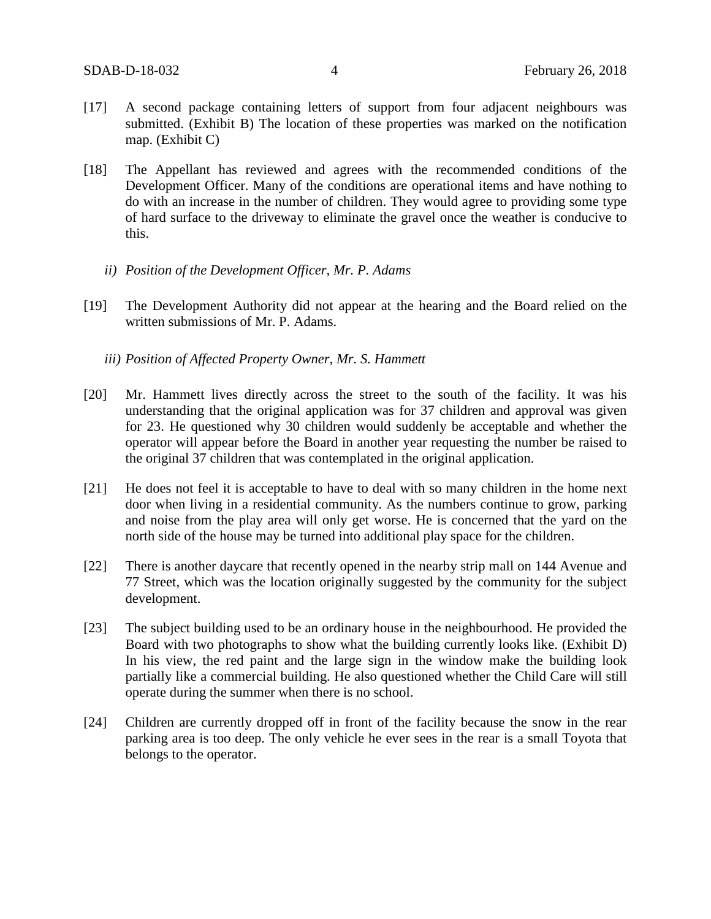- [17] A second package containing letters of support from four adjacent neighbours was submitted. (Exhibit B) The location of these properties was marked on the notification map. (Exhibit C)
- [18] The Appellant has reviewed and agrees with the recommended conditions of the Development Officer. Many of the conditions are operational items and have nothing to do with an increase in the number of children. They would agree to providing some type of hard surface to the driveway to eliminate the gravel once the weather is conducive to this.
	- *ii) Position of the Development Officer, Mr. P. Adams*
- [19] The Development Authority did not appear at the hearing and the Board relied on the written submissions of Mr. P. Adams.
	- *iii) Position of Affected Property Owner, Mr. S. Hammett*
- [20] Mr. Hammett lives directly across the street to the south of the facility. It was his understanding that the original application was for 37 children and approval was given for 23. He questioned why 30 children would suddenly be acceptable and whether the operator will appear before the Board in another year requesting the number be raised to the original 37 children that was contemplated in the original application.
- [21] He does not feel it is acceptable to have to deal with so many children in the home next door when living in a residential community. As the numbers continue to grow, parking and noise from the play area will only get worse. He is concerned that the yard on the north side of the house may be turned into additional play space for the children.
- [22] There is another daycare that recently opened in the nearby strip mall on 144 Avenue and 77 Street, which was the location originally suggested by the community for the subject development.
- [23] The subject building used to be an ordinary house in the neighbourhood. He provided the Board with two photographs to show what the building currently looks like. (Exhibit D) In his view, the red paint and the large sign in the window make the building look partially like a commercial building. He also questioned whether the Child Care will still operate during the summer when there is no school.
- [24] Children are currently dropped off in front of the facility because the snow in the rear parking area is too deep. The only vehicle he ever sees in the rear is a small Toyota that belongs to the operator.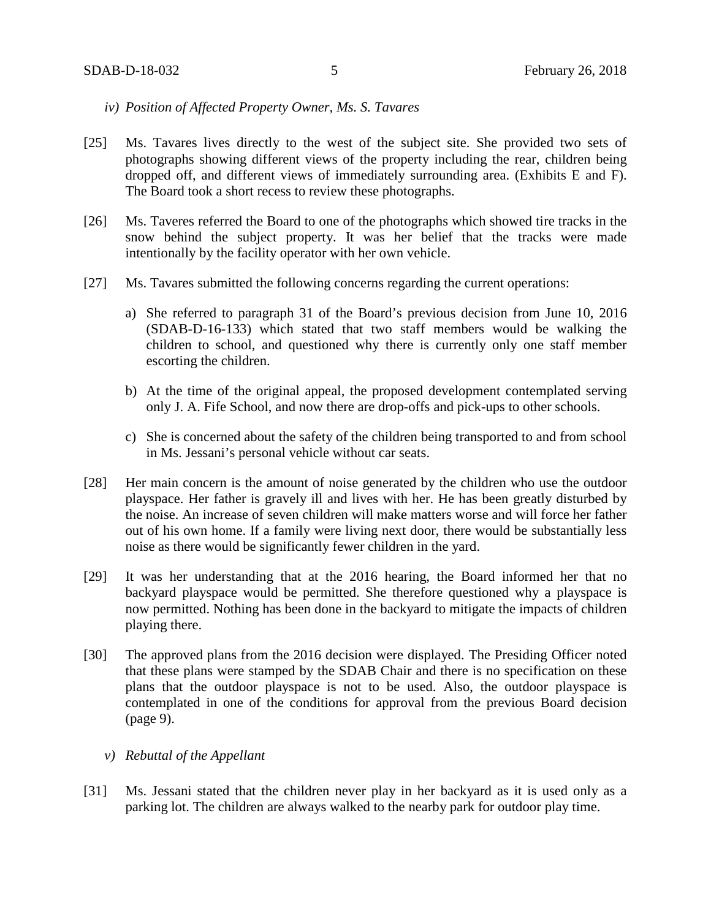- *iv) Position of Affected Property Owner, Ms. S. Tavares*
- [25] Ms. Tavares lives directly to the west of the subject site. She provided two sets of photographs showing different views of the property including the rear, children being dropped off, and different views of immediately surrounding area. (Exhibits E and F). The Board took a short recess to review these photographs.
- [26] Ms. Taveres referred the Board to one of the photographs which showed tire tracks in the snow behind the subject property. It was her belief that the tracks were made intentionally by the facility operator with her own vehicle.
- [27] Ms. Tavares submitted the following concerns regarding the current operations:
	- a) She referred to paragraph 31 of the Board's previous decision from June 10, 2016 (SDAB-D-16-133) which stated that two staff members would be walking the children to school, and questioned why there is currently only one staff member escorting the children.
	- b) At the time of the original appeal, the proposed development contemplated serving only J. A. Fife School, and now there are drop-offs and pick-ups to other schools.
	- c) She is concerned about the safety of the children being transported to and from school in Ms. Jessani's personal vehicle without car seats.
- [28] Her main concern is the amount of noise generated by the children who use the outdoor playspace. Her father is gravely ill and lives with her. He has been greatly disturbed by the noise. An increase of seven children will make matters worse and will force her father out of his own home. If a family were living next door, there would be substantially less noise as there would be significantly fewer children in the yard.
- [29] It was her understanding that at the 2016 hearing, the Board informed her that no backyard playspace would be permitted. She therefore questioned why a playspace is now permitted. Nothing has been done in the backyard to mitigate the impacts of children playing there.
- [30] The approved plans from the 2016 decision were displayed. The Presiding Officer noted that these plans were stamped by the SDAB Chair and there is no specification on these plans that the outdoor playspace is not to be used. Also, the outdoor playspace is contemplated in one of the conditions for approval from the previous Board decision (page 9).
	- *v) Rebuttal of the Appellant*
- [31] Ms. Jessani stated that the children never play in her backyard as it is used only as a parking lot. The children are always walked to the nearby park for outdoor play time.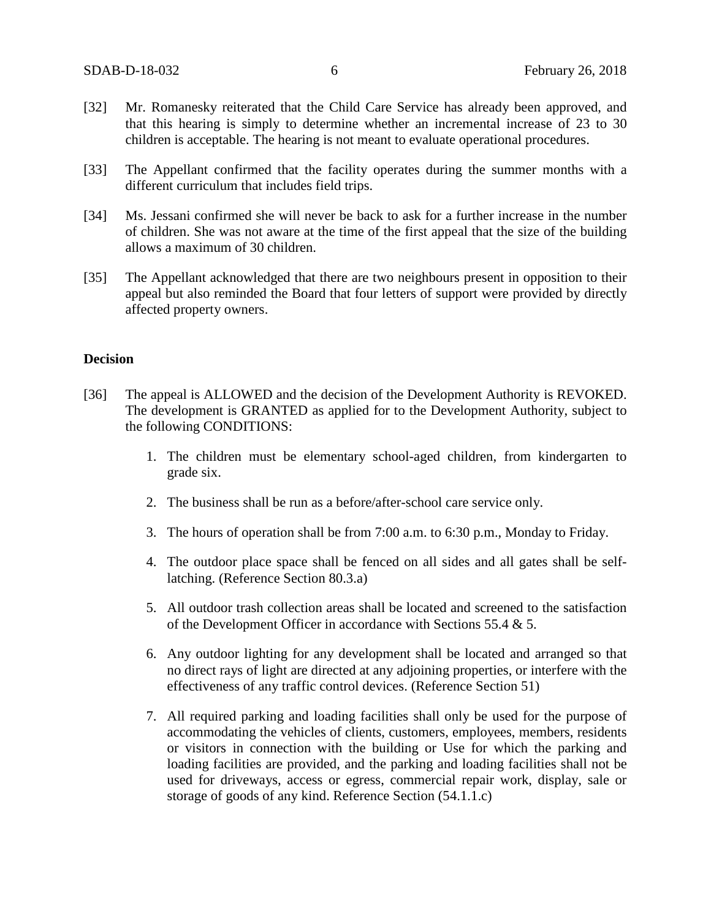- [32] Mr. Romanesky reiterated that the Child Care Service has already been approved, and that this hearing is simply to determine whether an incremental increase of 23 to 30 children is acceptable. The hearing is not meant to evaluate operational procedures.
- [33] The Appellant confirmed that the facility operates during the summer months with a different curriculum that includes field trips.
- [34] Ms. Jessani confirmed she will never be back to ask for a further increase in the number of children. She was not aware at the time of the first appeal that the size of the building allows a maximum of 30 children.
- [35] The Appellant acknowledged that there are two neighbours present in opposition to their appeal but also reminded the Board that four letters of support were provided by directly affected property owners.

## **Decision**

- [36] The appeal is ALLOWED and the decision of the Development Authority is REVOKED. The development is GRANTED as applied for to the Development Authority, subject to the following CONDITIONS:
	- 1. The children must be elementary school-aged children, from kindergarten to grade six.
	- 2. The business shall be run as a before/after-school care service only.
	- 3. The hours of operation shall be from 7:00 a.m. to 6:30 p.m., Monday to Friday.
	- 4. The outdoor place space shall be fenced on all sides and all gates shall be selflatching. (Reference Section 80.3.a)
	- 5. All outdoor trash collection areas shall be located and screened to the satisfaction of the Development Officer in accordance with Sections 55.4 & 5.
	- 6. Any outdoor lighting for any development shall be located and arranged so that no direct rays of light are directed at any adjoining properties, or interfere with the effectiveness of any traffic control devices. (Reference Section 51)
	- 7. All required parking and loading facilities shall only be used for the purpose of accommodating the vehicles of clients, customers, employees, members, residents or visitors in connection with the building or Use for which the parking and loading facilities are provided, and the parking and loading facilities shall not be used for driveways, access or egress, commercial repair work, display, sale or storage of goods of any kind. Reference Section (54.1.1.c)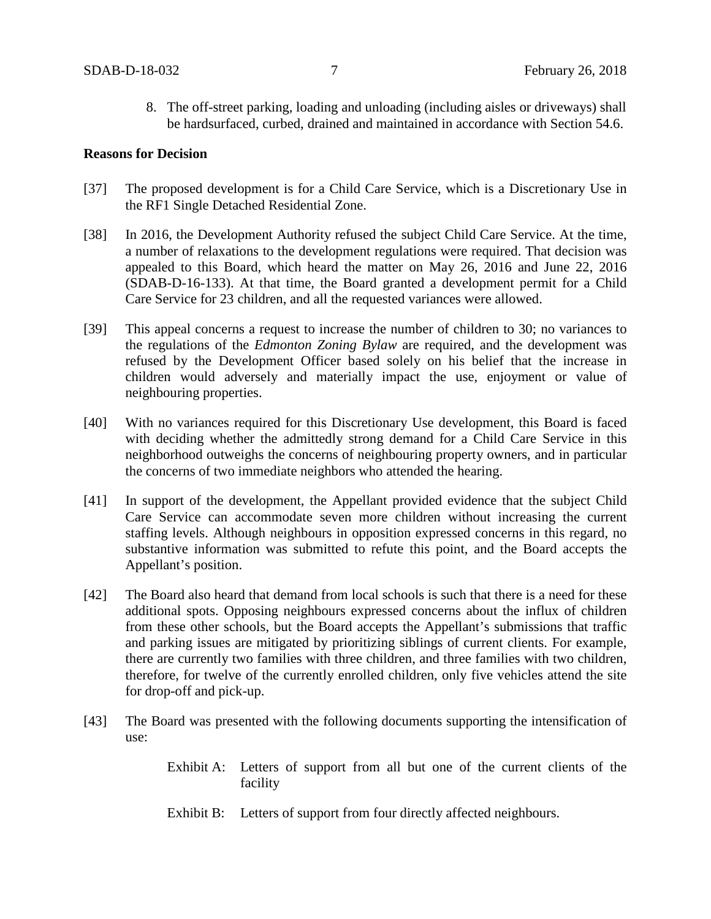8. The off-street parking, loading and unloading (including aisles or driveways) shall be hardsurfaced, curbed, drained and maintained in accordance with Section 54.6.

#### **Reasons for Decision**

- [37] The proposed development is for a Child Care Service, which is a Discretionary Use in the RF1 Single Detached Residential Zone.
- [38] In 2016, the Development Authority refused the subject Child Care Service. At the time, a number of relaxations to the development regulations were required. That decision was appealed to this Board, which heard the matter on May 26, 2016 and June 22, 2016 (SDAB-D-16-133). At that time, the Board granted a development permit for a Child Care Service for 23 children, and all the requested variances were allowed.
- [39] This appeal concerns a request to increase the number of children to 30; no variances to the regulations of the *Edmonton Zoning Bylaw* are required, and the development was refused by the Development Officer based solely on his belief that the increase in children would adversely and materially impact the use, enjoyment or value of neighbouring properties.
- [40] With no variances required for this Discretionary Use development, this Board is faced with deciding whether the admittedly strong demand for a Child Care Service in this neighborhood outweighs the concerns of neighbouring property owners, and in particular the concerns of two immediate neighbors who attended the hearing.
- [41] In support of the development, the Appellant provided evidence that the subject Child Care Service can accommodate seven more children without increasing the current staffing levels. Although neighbours in opposition expressed concerns in this regard, no substantive information was submitted to refute this point, and the Board accepts the Appellant's position.
- [42] The Board also heard that demand from local schools is such that there is a need for these additional spots. Opposing neighbours expressed concerns about the influx of children from these other schools, but the Board accepts the Appellant's submissions that traffic and parking issues are mitigated by prioritizing siblings of current clients. For example, there are currently two families with three children, and three families with two children, therefore, for twelve of the currently enrolled children, only five vehicles attend the site for drop-off and pick-up.
- [43] The Board was presented with the following documents supporting the intensification of use:
	- Exhibit A: Letters of support from all but one of the current clients of the facility
	- Exhibit B: Letters of support from four directly affected neighbours.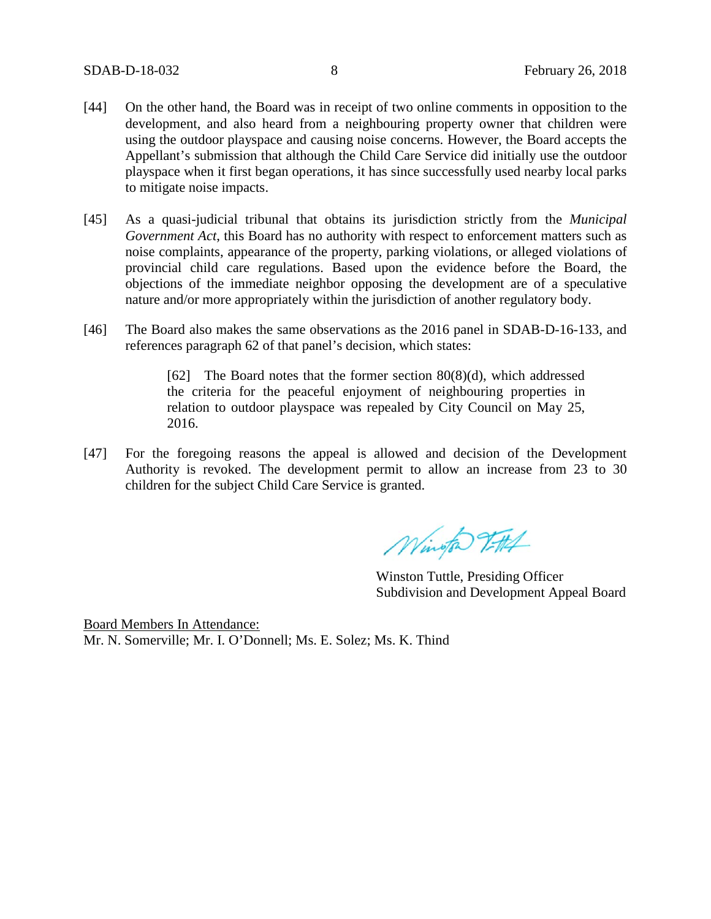- [44] On the other hand, the Board was in receipt of two online comments in opposition to the development, and also heard from a neighbouring property owner that children were using the outdoor playspace and causing noise concerns. However, the Board accepts the Appellant's submission that although the Child Care Service did initially use the outdoor playspace when it first began operations, it has since successfully used nearby local parks to mitigate noise impacts.
- [45] As a quasi-judicial tribunal that obtains its jurisdiction strictly from the *Municipal Government Act*, this Board has no authority with respect to enforcement matters such as noise complaints, appearance of the property, parking violations, or alleged violations of provincial child care regulations. Based upon the evidence before the Board, the objections of the immediate neighbor opposing the development are of a speculative nature and/or more appropriately within the jurisdiction of another regulatory body.
- [46] The Board also makes the same observations as the 2016 panel in SDAB-D-16-133, and references paragraph 62 of that panel's decision, which states:

[62] The Board notes that the former section 80(8)(d), which addressed the criteria for the peaceful enjoyment of neighbouring properties in relation to outdoor playspace was repealed by City Council on May 25, 2016.

[47] For the foregoing reasons the appeal is allowed and decision of the Development Authority is revoked. The development permit to allow an increase from 23 to 30 children for the subject Child Care Service is granted.

Wington Titth

Winston Tuttle, Presiding Officer Subdivision and Development Appeal Board

Board Members In Attendance: Mr. N. Somerville; Mr. I. O'Donnell; Ms. E. Solez; Ms. K. Thind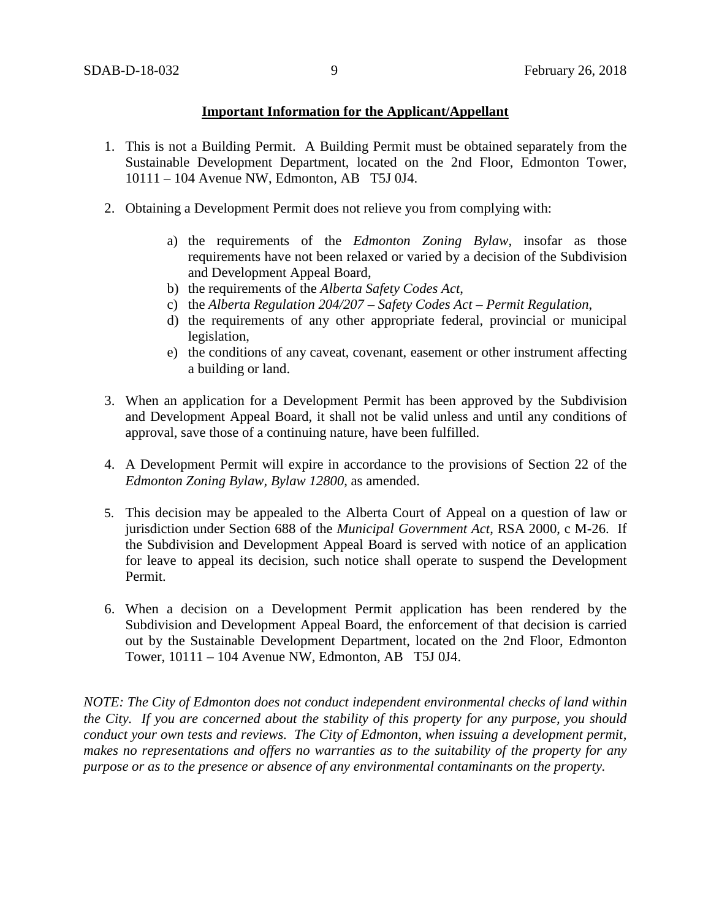# **Important Information for the Applicant/Appellant**

- 1. This is not a Building Permit. A Building Permit must be obtained separately from the Sustainable Development Department, located on the 2nd Floor, Edmonton Tower, 10111 – 104 Avenue NW, Edmonton, AB T5J 0J4.
- 2. Obtaining a Development Permit does not relieve you from complying with:
	- a) the requirements of the *Edmonton Zoning Bylaw*, insofar as those requirements have not been relaxed or varied by a decision of the Subdivision and Development Appeal Board,
	- b) the requirements of the *Alberta Safety Codes Act*,
	- c) the *Alberta Regulation 204/207 – Safety Codes Act – Permit Regulation*,
	- d) the requirements of any other appropriate federal, provincial or municipal legislation,
	- e) the conditions of any caveat, covenant, easement or other instrument affecting a building or land.
- 3. When an application for a Development Permit has been approved by the Subdivision and Development Appeal Board, it shall not be valid unless and until any conditions of approval, save those of a continuing nature, have been fulfilled.
- 4. A Development Permit will expire in accordance to the provisions of Section 22 of the *Edmonton Zoning Bylaw, Bylaw 12800*, as amended.
- 5. This decision may be appealed to the Alberta Court of Appeal on a question of law or jurisdiction under Section 688 of the *Municipal Government Act*, RSA 2000, c M-26. If the Subdivision and Development Appeal Board is served with notice of an application for leave to appeal its decision, such notice shall operate to suspend the Development Permit.
- 6. When a decision on a Development Permit application has been rendered by the Subdivision and Development Appeal Board, the enforcement of that decision is carried out by the Sustainable Development Department, located on the 2nd Floor, Edmonton Tower, 10111 – 104 Avenue NW, Edmonton, AB T5J 0J4.

*NOTE: The City of Edmonton does not conduct independent environmental checks of land within the City. If you are concerned about the stability of this property for any purpose, you should conduct your own tests and reviews. The City of Edmonton, when issuing a development permit, makes no representations and offers no warranties as to the suitability of the property for any purpose or as to the presence or absence of any environmental contaminants on the property.*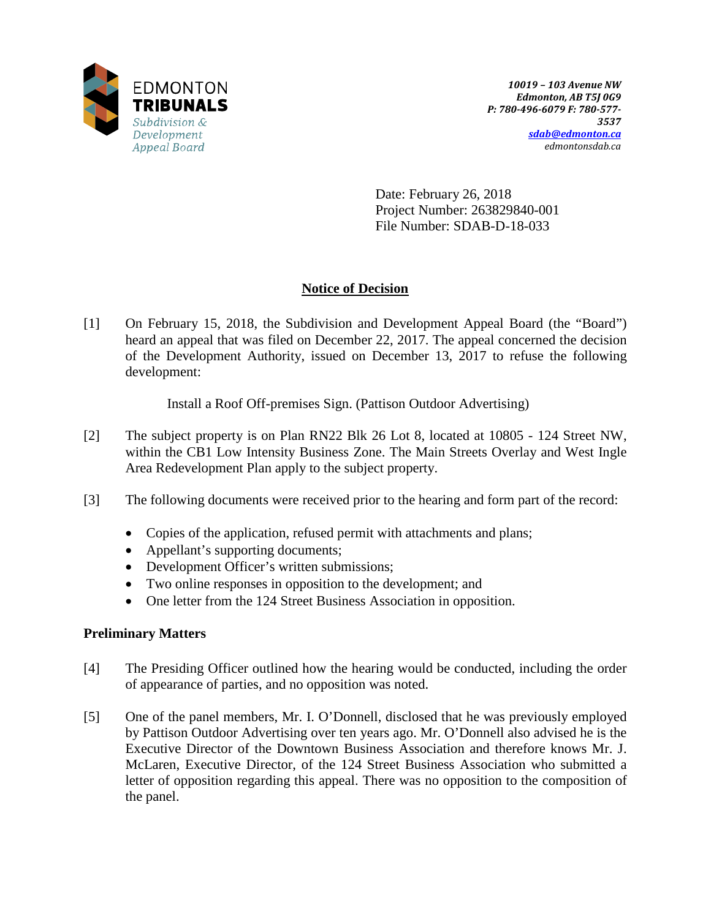

Date: February 26, 2018 Project Number: 263829840-001 File Number: SDAB-D-18-033

# **Notice of Decision**

[1] On February 15, 2018, the Subdivision and Development Appeal Board (the "Board") heard an appeal that was filed on December 22, 2017. The appeal concerned the decision of the Development Authority, issued on December 13, 2017 to refuse the following development:

Install a Roof Off-premises Sign. (Pattison Outdoor Advertising)

- [2] The subject property is on Plan RN22 Blk 26 Lot 8, located at 10805 124 Street NW, within the CB1 Low Intensity Business Zone. The Main Streets Overlay and West Ingle Area Redevelopment Plan apply to the subject property.
- [3] The following documents were received prior to the hearing and form part of the record:
	- Copies of the application, refused permit with attachments and plans;
	- Appellant's supporting documents;
	- Development Officer's written submissions;
	- Two online responses in opposition to the development; and
	- One letter from the 124 Street Business Association in opposition.

# **Preliminary Matters**

- [4] The Presiding Officer outlined how the hearing would be conducted, including the order of appearance of parties, and no opposition was noted.
- [5] One of the panel members, Mr. I. O'Donnell, disclosed that he was previously employed by Pattison Outdoor Advertising over ten years ago. Mr. O'Donnell also advised he is the Executive Director of the Downtown Business Association and therefore knows Mr. J. McLaren, Executive Director, of the 124 Street Business Association who submitted a letter of opposition regarding this appeal. There was no opposition to the composition of the panel.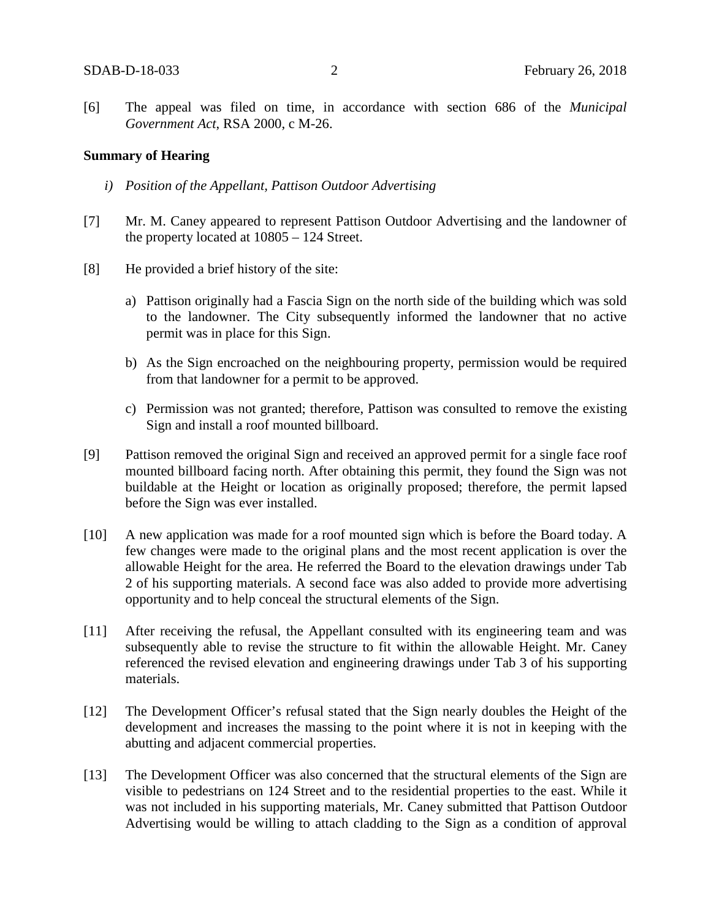[6] The appeal was filed on time, in accordance with section 686 of the *Municipal Government Act*, RSA 2000, c M-26.

### **Summary of Hearing**

- *i) Position of the Appellant, Pattison Outdoor Advertising*
- [7] Mr. M. Caney appeared to represent Pattison Outdoor Advertising and the landowner of the property located at 10805 – 124 Street.
- [8] He provided a brief history of the site:
	- a) Pattison originally had a Fascia Sign on the north side of the building which was sold to the landowner. The City subsequently informed the landowner that no active permit was in place for this Sign.
	- b) As the Sign encroached on the neighbouring property, permission would be required from that landowner for a permit to be approved.
	- c) Permission was not granted; therefore, Pattison was consulted to remove the existing Sign and install a roof mounted billboard.
- [9] Pattison removed the original Sign and received an approved permit for a single face roof mounted billboard facing north. After obtaining this permit, they found the Sign was not buildable at the Height or location as originally proposed; therefore, the permit lapsed before the Sign was ever installed.
- [10] A new application was made for a roof mounted sign which is before the Board today. A few changes were made to the original plans and the most recent application is over the allowable Height for the area. He referred the Board to the elevation drawings under Tab 2 of his supporting materials. A second face was also added to provide more advertising opportunity and to help conceal the structural elements of the Sign.
- [11] After receiving the refusal, the Appellant consulted with its engineering team and was subsequently able to revise the structure to fit within the allowable Height. Mr. Caney referenced the revised elevation and engineering drawings under Tab 3 of his supporting materials.
- [12] The Development Officer's refusal stated that the Sign nearly doubles the Height of the development and increases the massing to the point where it is not in keeping with the abutting and adjacent commercial properties.
- [13] The Development Officer was also concerned that the structural elements of the Sign are visible to pedestrians on 124 Street and to the residential properties to the east. While it was not included in his supporting materials, Mr. Caney submitted that Pattison Outdoor Advertising would be willing to attach cladding to the Sign as a condition of approval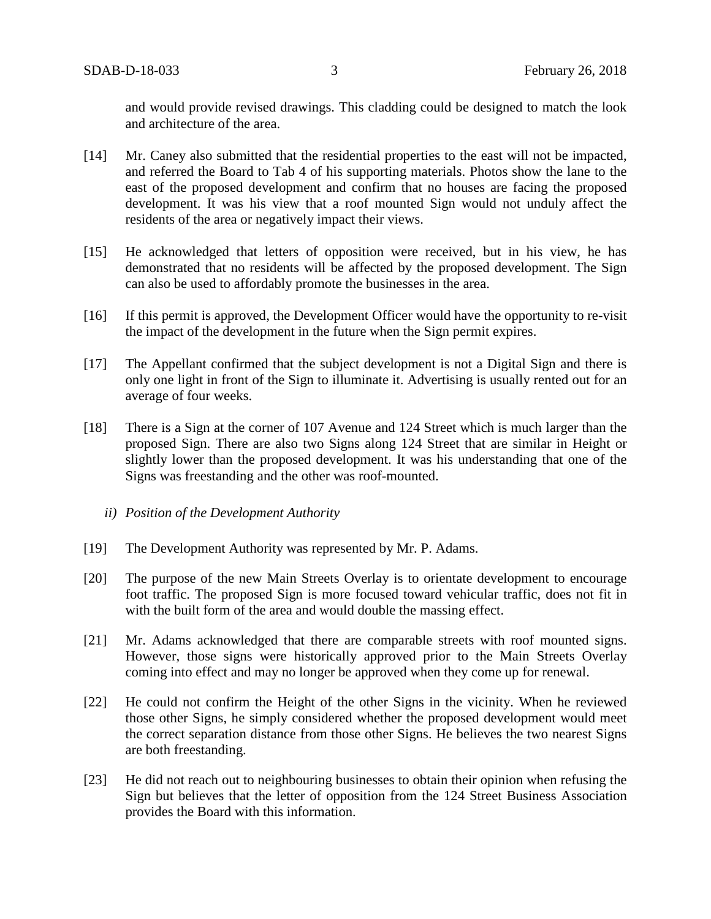and would provide revised drawings. This cladding could be designed to match the look and architecture of the area.

- [14] Mr. Caney also submitted that the residential properties to the east will not be impacted, and referred the Board to Tab 4 of his supporting materials. Photos show the lane to the east of the proposed development and confirm that no houses are facing the proposed development. It was his view that a roof mounted Sign would not unduly affect the residents of the area or negatively impact their views.
- [15] He acknowledged that letters of opposition were received, but in his view, he has demonstrated that no residents will be affected by the proposed development. The Sign can also be used to affordably promote the businesses in the area.
- [16] If this permit is approved, the Development Officer would have the opportunity to re-visit the impact of the development in the future when the Sign permit expires.
- [17] The Appellant confirmed that the subject development is not a Digital Sign and there is only one light in front of the Sign to illuminate it. Advertising is usually rented out for an average of four weeks.
- [18] There is a Sign at the corner of 107 Avenue and 124 Street which is much larger than the proposed Sign. There are also two Signs along 124 Street that are similar in Height or slightly lower than the proposed development. It was his understanding that one of the Signs was freestanding and the other was roof-mounted.
	- *ii) Position of the Development Authority*
- [19] The Development Authority was represented by Mr. P. Adams.
- [20] The purpose of the new Main Streets Overlay is to orientate development to encourage foot traffic. The proposed Sign is more focused toward vehicular traffic, does not fit in with the built form of the area and would double the massing effect.
- [21] Mr. Adams acknowledged that there are comparable streets with roof mounted signs. However, those signs were historically approved prior to the Main Streets Overlay coming into effect and may no longer be approved when they come up for renewal.
- [22] He could not confirm the Height of the other Signs in the vicinity. When he reviewed those other Signs, he simply considered whether the proposed development would meet the correct separation distance from those other Signs. He believes the two nearest Signs are both freestanding.
- [23] He did not reach out to neighbouring businesses to obtain their opinion when refusing the Sign but believes that the letter of opposition from the 124 Street Business Association provides the Board with this information.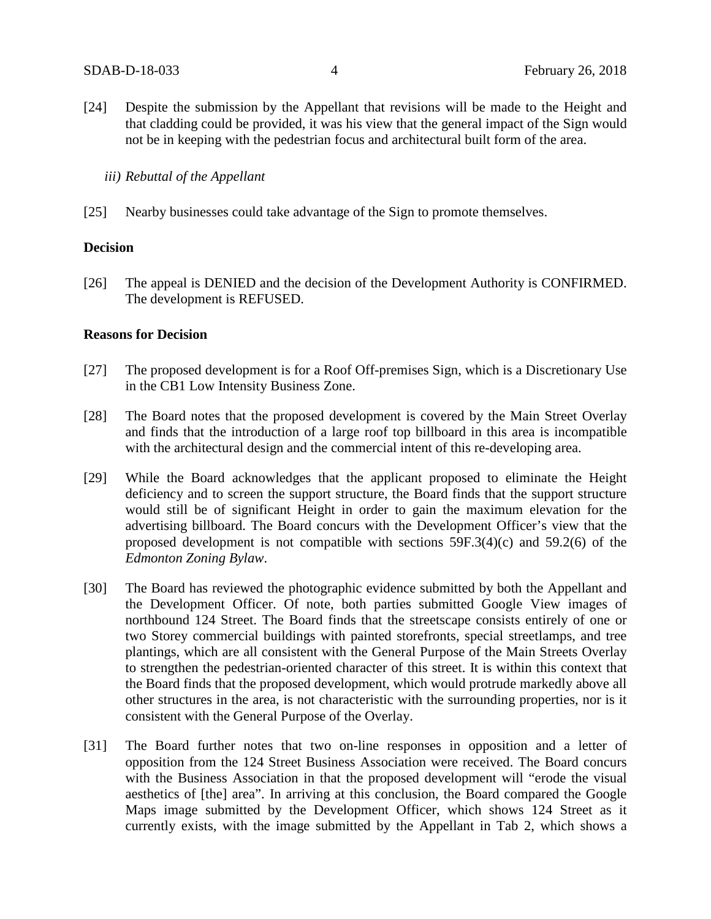[24] Despite the submission by the Appellant that revisions will be made to the Height and that cladding could be provided, it was his view that the general impact of the Sign would not be in keeping with the pedestrian focus and architectural built form of the area.

*iii) Rebuttal of the Appellant*

[25] Nearby businesses could take advantage of the Sign to promote themselves.

## **Decision**

[26] The appeal is DENIED and the decision of the Development Authority is CONFIRMED. The development is REFUSED.

## **Reasons for Decision**

- [27] The proposed development is for a Roof Off-premises Sign, which is a Discretionary Use in the CB1 Low Intensity Business Zone.
- [28] The Board notes that the proposed development is covered by the Main Street Overlay and finds that the introduction of a large roof top billboard in this area is incompatible with the architectural design and the commercial intent of this re-developing area.
- [29] While the Board acknowledges that the applicant proposed to eliminate the Height deficiency and to screen the support structure, the Board finds that the support structure would still be of significant Height in order to gain the maximum elevation for the advertising billboard. The Board concurs with the Development Officer's view that the proposed development is not compatible with sections 59F.3(4)(c) and 59.2(6) of the *Edmonton Zoning Bylaw*.
- [30] The Board has reviewed the photographic evidence submitted by both the Appellant and the Development Officer. Of note, both parties submitted Google View images of northbound 124 Street. The Board finds that the streetscape consists entirely of one or two Storey commercial buildings with painted storefronts, special streetlamps, and tree plantings, which are all consistent with the General Purpose of the Main Streets Overlay to strengthen the pedestrian-oriented character of this street. It is within this context that the Board finds that the proposed development, which would protrude markedly above all other structures in the area, is not characteristic with the surrounding properties, nor is it consistent with the General Purpose of the Overlay.
- [31] The Board further notes that two on-line responses in opposition and a letter of opposition from the 124 Street Business Association were received. The Board concurs with the Business Association in that the proposed development will "erode the visual aesthetics of [the] area". In arriving at this conclusion, the Board compared the Google Maps image submitted by the Development Officer, which shows 124 Street as it currently exists, with the image submitted by the Appellant in Tab 2, which shows a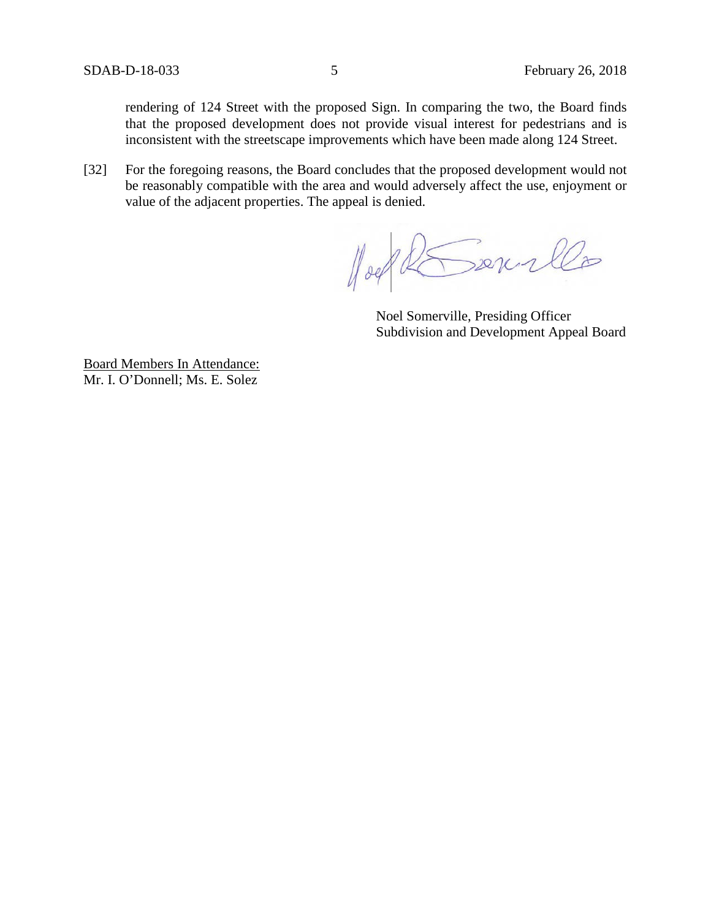rendering of 124 Street with the proposed Sign. In comparing the two, the Board finds that the proposed development does not provide visual interest for pedestrians and is inconsistent with the streetscape improvements which have been made along 124 Street.

[32] For the foregoing reasons, the Board concludes that the proposed development would not be reasonably compatible with the area and would adversely affect the use, enjoyment or value of the adjacent properties. The appeal is denied.

Hoel REsource

Noel Somerville, Presiding Officer Subdivision and Development Appeal Board

Board Members In Attendance: Mr. I. O'Donnell; Ms. E. Solez